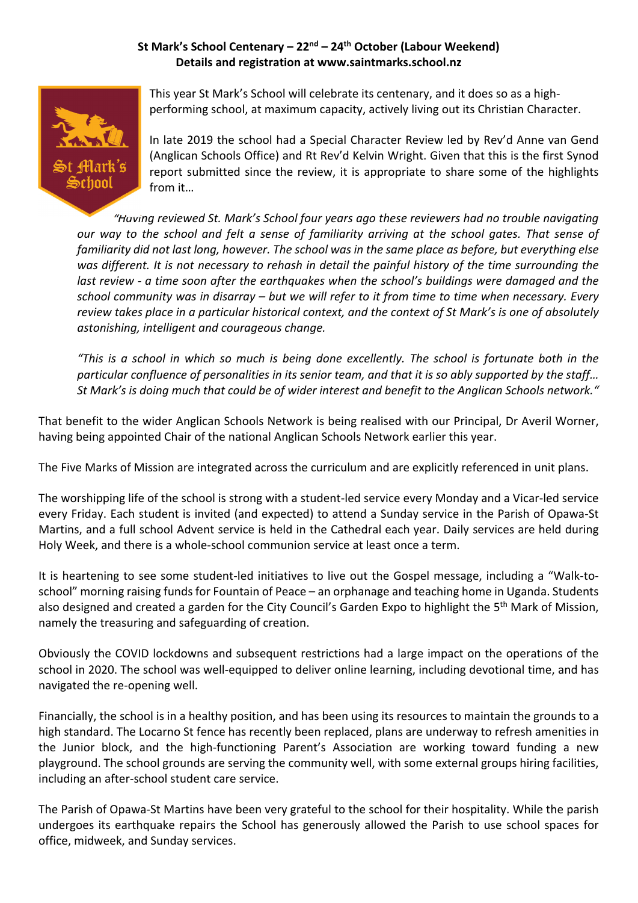## **St Mark's School Centenary – 22nd – 24th October (Labour Weekend) Details and registration at www.saintmarks.school.nz**



This year St Mark's School will celebrate its centenary, and it does so as a high‐ performing school, at maximum capacity, actively living out its Christian Character.

In late 2019 the school had a Special Character Review led by Rev'd Anne van Gend (Anglican Schools Office) and Rt Rev'd Kelvin Wright. Given that this is the first Synod report submitted since the review, it is appropriate to share some of the highlights from it…

*"Having reviewed St. Mark's School four years ago these reviewers had no trouble navigating* our way to the school and felt a sense of familiarity arriving at the school gates. That sense of familiarity did not last long, however. The school was in the same place as before, but everything else was different. It is not necessary to rehash in detail the painful history of the time surrounding the *last review ‐ a time soon after the earthquakes when the school's buildings were damaged and the* school community was in disarray – but we will refer to it from time to time when necessary. Every review takes place in a particular historical context, and the context of St Mark's is one of absolutely *astonishing, intelligent and courageous change.* 

"This is a school in which so much is being done excellently. The school is fortunate both in the particular confluence of personalities in its senior team, and that it is so ably supported by the staff... ".St Mark's is doing much that could be of wider interest and benefit to the Anglican Schools network.

That benefit to the wider Anglican Schools Network is being realised with our Principal, Dr Averil Worner, having being appointed Chair of the national Anglican Schools Network earlier this year.

The Five Marks of Mission are integrated across the curriculum and are explicitly referenced in unit plans.

The worshipping life of the school is strong with a student‐led service every Monday and a Vicar‐led service every Friday. Each student is invited (and expected) to attend a Sunday service in the Parish of Opawa‐St Martins, and a full school Advent service is held in the Cathedral each year. Daily services are held during Holy Week, and there is a whole‐school communion service at least once a term.

It is heartening to see some student‐led initiatives to live out the Gospel message, including a "Walk‐to‐ school" morning raising funds for Fountain of Peace – an orphanage and teaching home in Uganda. Students also designed and created a garden for the City Council's Garden Expo to highlight the 5<sup>th</sup> Mark of Mission, namely the treasuring and safeguarding of creation.

Obviously the COVID lockdowns and subsequent restrictions had a large impact on the operations of the school in 2020. The school was well-equipped to deliver online learning, including devotional time, and has navigated the re‐opening well.

Financially, the school is in a healthy position, and has been using its resources to maintain the grounds to a high standard. The Locarno St fence has recently been replaced, plans are underway to refresh amenities in the Junior block, and the high‐functioning Parent's Association are working toward funding a new playground. The school grounds are serving the community well, with some external groups hiring facilities, including an after‐school student care service.

The Parish of Opawa‐St Martins have been very grateful to the school for their hospitality. While the parish undergoes its earthquake repairs the School has generously allowed the Parish to use school spaces for office, midweek, and Sunday services.